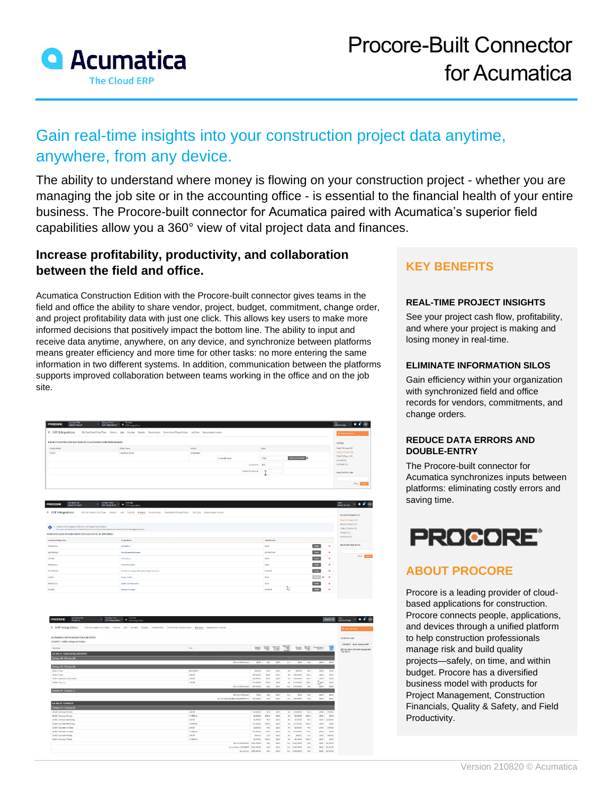

# Gain real-time insights into your construction project data anytime, anywhere, from any device.

The ability to understand where money is flowing on your construction project - whether you are managing the job site or in the accounting office - is essential to the financial health of your entire business. The Procore-built connector for Acumatica paired with Acumatica's superior field capabilities allow you a 360° view of vital project data and finances.

### **Increase profitability, productivity, and collaboration between the field and office.**

Acumatica Construction Edition with the Procore-built connector gives teams in the field and office the ability to share vendor, project, budget, commitment, change order, and project profitability data with just one click. This allows key users to make more informed decisions that positively impact the bottom line. The ability to input and receive data anytime, anywhere, on any device, and synchronize between platforms means greater efficiency and more time for other tasks: no more entering the same information in two different systems. In addition, communication between the platforms supports improved collaboration between teams working in the office and on the job site.

| • ERP Integrations                                                                                                                                                               | Riti Cost Cost Tipes Vendors Jabs SubJobs Budgets Commitments Commitment Change Orders 200 Costs Dutcontractor Involves |                      |                                    | <b>C</b> Remance the                |  |
|----------------------------------------------------------------------------------------------------------------------------------------------------------------------------------|-------------------------------------------------------------------------------------------------------------------------|----------------------|------------------------------------|-------------------------------------|--|
| The and investment and the first series to an experimental dependence and construction of the second construction<br>PROJECTS IN PROCORE NOT SYNCED TO ACUMATICA ERP INTEGRATION |                                                                                                                         |                      |                                    | PATERS.                             |  |
| : Project/Nordson                                                                                                                                                                | Project News                                                                                                            | Arrest               | <b>State</b>                       | Ready Talerport (1)                 |  |
| 715222<br>,,,,,,,                                                                                                                                                                | Wearhort Contine                                                                                                        | <b>Uklead Drasas</b> |                                    | <b>Hendy Rx Export (1)</b>          |  |
|                                                                                                                                                                                  |                                                                                                                         | C Nove & Accept      | <b>Digon's Agencies</b> 0<br>77022 | Falled To Diport (3)<br>Serverd DVA |  |
| Governo Box                                                                                                                                                                      |                                                                                                                         |                      |                                    |                                     |  |
| Template City closed:<br>$\mathbf{r}$                                                                                                                                            |                                                                                                                         |                      |                                    |                                     |  |
|                                                                                                                                                                                  |                                                                                                                         |                      | ٠                                  |                                     |  |

| <b>CONTRACTOR</b><br><b>PROGORE</b><br>٠<br>Select a Project                                                                                                                                    | Distance food and the Technique Company food                                                                               |                |               |           | Selection Ago By BY                         |
|-------------------------------------------------------------------------------------------------------------------------------------------------------------------------------------------------|----------------------------------------------------------------------------------------------------------------------------|----------------|---------------|-----------|---------------------------------------------|
| <b>O</b> ERP Integrations                                                                                                                                                                       | Stat Coals & Coal Types Vendors Jobs SubJobs Budgets Commitments Commitment Change Orders Job Costs Subcontractor Involves |                |               |           | <b>NURRESTMAIRS BY</b>                      |
|                                                                                                                                                                                                 |                                                                                                                            |                |               |           | Ready To Import 03                          |
| + Projects will enty-appear on this list if their Budgettes is enabled.<br>- Ciniv forms that have a Job To Date Cost and/or an Original Estimate amount will be imported as budget line forms. |                                                                                                                            |                |               |           | Ready To Export (2)<br>Falled To Export [O] |
| ACUMATICA ERP INTEGRATION COSTS READY TO BE IMPORTED                                                                                                                                            |                                                                                                                            |                |               |           | Synced (12)<br>Archived (24)                |
| Apartation Budget Code                                                                                                                                                                          | Project Name                                                                                                               | Total Entimony |               |           |                                             |
| PRODODELLS                                                                                                                                                                                      | 500 Padium                                                                                                                 | \$500          | <b>System</b> | $\bullet$ | SEARCH FOR BUDGET                           |
| scorpeveup                                                                                                                                                                                      | From Ditional Development                                                                                                  | \$3,744,270.00 | <b>Syst</b>   | $\circ$   |                                             |
| 426001                                                                                                                                                                                          | <b>FOCESIAS</b>                                                                                                            | 9100           | <b>STAR</b>   | $\circ$   | Cise   South                                |
| #400000117                                                                                                                                                                                      | <b>Pittsen Renouncies</b>                                                                                                  | \$500          | sven          | $\circ$   |                                             |
| 00/20/02/2015                                                                                                                                                                                   | Past Services, Perspress Billing for Wicker Connection                                                                     | \$3,503.00     | <b>Separt</b> | $\circ$   |                                             |
| 052621                                                                                                                                                                                          | Preject 02821                                                                                                              | 9200           | <b>A</b>      | 00        |                                             |
| #400000115                                                                                                                                                                                      | Screen Door Renovation                                                                                                     | \$500          | <b>Tryon</b>  | ۰         |                                             |
| 2910001                                                                                                                                                                                         | Sumptovn Project                                                                                                           | 52 300.00      | <b>Signal</b> | $\circ$   |                                             |

| ACUMATICA ERPINTEGRATION JOR COSTS            |                                  |              |            |               |                                     |                    |            |           |                   | FILTER BY JOB                                                                           |
|-----------------------------------------------|----------------------------------|--------------|------------|---------------|-------------------------------------|--------------------|------------|-----------|-------------------|-----------------------------------------------------------------------------------------|
| 1003REST - Italian Restaurant Project         |                                  |              |            |               |                                     |                    |            |           |                   |                                                                                         |
| Car.<br>Cost Code                             |                                  | Office       | <b>YES</b> | $\frac{1}{2}$ | Approved<br>The Contract<br>Changes | Sprint             | <b>TOO</b> | Covenings | 體                 | 100 FACST - Itslan Restaurant Pr *<br>G Only show Job Cost Lines greater<br>than \$0.00 |
| Sub Job: 01 - GENERAL RECKRED/ENTS            |                                  |              |            |               |                                     |                    |            |           |                   |                                                                                         |
| Division 00 Division 00                       |                                  |              |            |               |                                     |                    |            |           |                   |                                                                                         |
|                                               | Ohio kind Subscribe              | \$5.00       | NA.        | \$5.05        | NA                                  | \$0.00             | NA.        | \$3.03    | \$0.00            |                                                                                         |
| Division 01 - Division 01                     |                                  |              |            |               |                                     |                    |            |           |                   |                                                                                         |
| <b>DOUBLID IT</b><br>OLOGLY THIS              |                                  | \$800.00     | 33.0       | 2000          | 40                                  | \$400.00           | 35.0       | 03.00     | 00/00             |                                                                                         |
| 36455-Truth<br>LABOR                          |                                  | \$25,000.00  | 200.0      | \$0.00        | 50                                  | \$25,000.00        | 000.0      | \$3.00    | 90.00             |                                                                                         |
| 01-314- Comptions- Crew Leager<br>LABOR.      |                                  | \$30,000,00  | 300.0      | \$500         | 60                                  | \$30,000.00        | 10080      | \$3.00    | \$000             |                                                                                         |
| 01-900 - Clean Ltd.<br><b>LABOR</b>           |                                  | 11450000     | 229.0      | 3000          | CO.                                 | \$14,530.00        | 2700       | 900<br>w  | \$0.00            |                                                                                         |
|                                               | Olai siani 1. Retrocchi          | \$70,550.00  | No.        | \$140.        | <b>Bank C</b>                       | \$30,630.00        | <b>BOA</b> | \$3.00    | 90.00             |                                                                                         |
| Division 15 - Division 15                     |                                  |              |            |               |                                     |                    |            |           |                   |                                                                                         |
|                                               | Division 15 Subscribe            | \$5.00       | NA         | 40.00         | NA                                  | son                | Nov.       | \$3.00    | \$6.50            |                                                                                         |
|                                               | 21-EDITIONS OF EXAM REQUIREMENTS | \$70,000.00  | NA         | 3500          | NA.                                 | 273, 100.00        | <b>FOX</b> | 23,00     | 20.00             |                                                                                         |
| Sub John 33 - CONCERTE                        |                                  |              |            |               |                                     |                    |            |           |                   |                                                                                         |
| Division CO - Division CO                     |                                  |              |            |               |                                     |                    |            |           |                   |                                                                                         |
| 33-200- Concrete Roming<br>LABOR              |                                  | \$10,000.00  | 30.0       | 1000          |                                     |                    | $-300$     |           | 33.00 \$72.500    |                                                                                         |
| <b>MATERIAL</b><br>03-300- Concrete-Roming    |                                  | 53,000.00    | 1503.0     | 5000          | 0.0                                 | \$3,000.00         | 15000      | 53.00     | 5000              |                                                                                         |
| LABOR.<br>35-300 - Concrete- Reinforcing      |                                  | \$3,750.00   | 53.0       | 80.00         | CO.                                 | \$3,750.00         | 550        | 53,03     | 2125000           |                                                                                         |
| 03-220-Contrate-Tainforcing<br><b>NATODAL</b> |                                  | \$17,900.00  | 7200.0     | \$000         | GD.                                 | \$17,50000         | 70000      | 33,00     | 3000              |                                                                                         |
| LABOR.<br>05-300-Contracts CO States          |                                  | \$2,000.00   | $-0.0$     | 5000          | GO.                                 | \$2,000.00         | $-40$      | \$3,00    | \$750.00          |                                                                                         |
| 35-300- Cancrete- O F Satur<br>MATERIAL       |                                  | \$77,500.00  | 775.0      | 50.00         | 0.0                                 | \$77,500.00        | 775.0      | \$3,00    | 2020              |                                                                                         |
| LABOR:<br>00-350- Contrate Fieldies           |                                  | \$540.00     | 560        | \$0.00        | 66                                  | \$440.00           | 160        | 33.00     | \$400.00          |                                                                                         |
| 03-350- Concrete-Fieldhes<br>MATERIAL         |                                  | 5340000      | 7003.0     | \$500         | 50                                  | \$9,400.00         | 70000      | \$3.00    | 5000              |                                                                                         |
|                                               | Distancial Seasons               | \$133,790.00 | NA         | \$505         |                                     | NA 112278000       | <b>NA</b>  |           | \$3,00 \$3,135.00 |                                                                                         |
|                                               | SALES TWO CONTRITE               | \$122,790.00 | NA         | \$5.00        |                                     | NH \$532,790.00    | No.        |           | 93.03 93.125.30   |                                                                                         |
|                                               | Smiral Saluki                    | \$192,890.00 | 1670       | 80.00         |                                     | table \$590,090.00 | <b>NOV</b> |           | \$3.03 \$3,125.00 |                                                                                         |

## **KEY BENEFITS**

#### **REAL-TIME PROJECT INSIGHTS**

See your project cash flow, profitability, and where your project is making and losing money in real-time.

#### **ELIMINATE INFORMATION SILOS**

Gain efficiency within your organization with synchronized field and office records for vendors, commitments, and change orders.

#### **REDUCE DATA ERRORS AND DOUBLE-ENTRY**

The Procore-built connector for Acumatica synchronizes inputs between platforms: eliminating costly errors and saving time.



## **ABOUT PROCORE**

Procore is a leading provider of cloudbased applications for construction. Procore connects people, applications, and devices through a unified platform to help construction professionals manage risk and build quality projects—safely, on time, and within budget. Procore has a diversified business model with products for Project Management, Construction Financials, Quality & Safety, and Field Productivity.